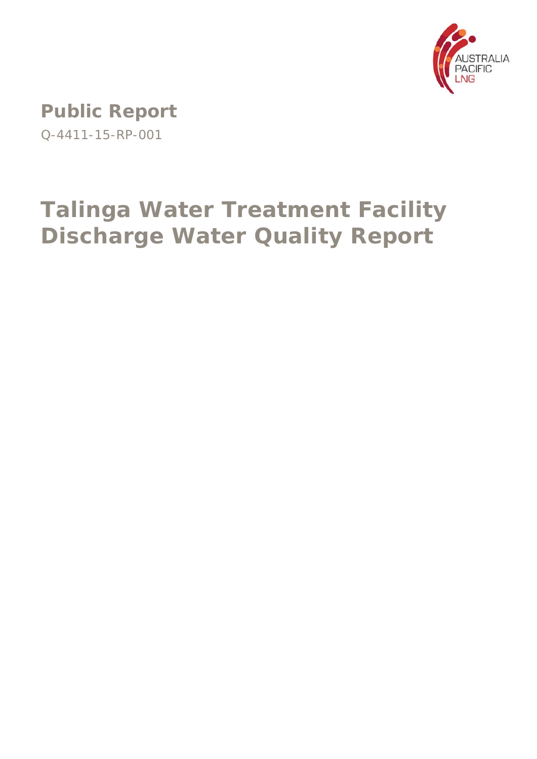

**Public Report**  Q-4411-15-RP-001

# **Talinga Water Treatment Facility Discharge Water Quality Report**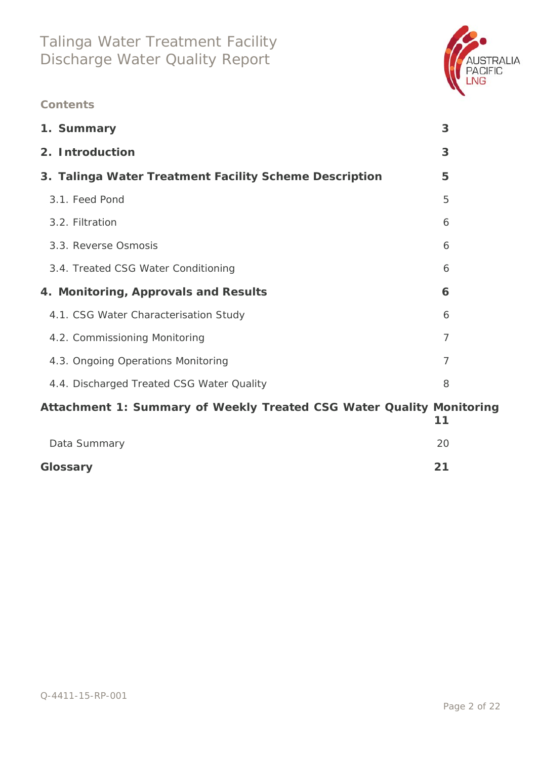

### **Contents**

| 1. Summary                                             | 3 |
|--------------------------------------------------------|---|
| 2. Introduction                                        | 3 |
| 3. Talinga Water Treatment Facility Scheme Description | 5 |
| 3.1. Feed Pond                                         | 5 |
| 3.2. Filtration                                        | 6 |
| 3.3. Reverse Osmosis                                   | 6 |
| 3.4. Treated CSG Water Conditioning                    | 6 |
| 4. Monitoring, Approvals and Results                   | 6 |
| 4.1. CSG Water Characterisation Study                  | 6 |
| 4.2. Commissioning Monitoring                          | 7 |
| 4.3. Ongoing Operations Monitoring                     | 7 |
| 4.4. Discharged Treated CSG Water Quality              | 8 |
|                                                        |   |

# **Attachment 1: Summary of Weekly Treated CSG Water Quality Monitoring 11** Data Summary 20

| Glossary |  | 21 |
|----------|--|----|
|          |  |    |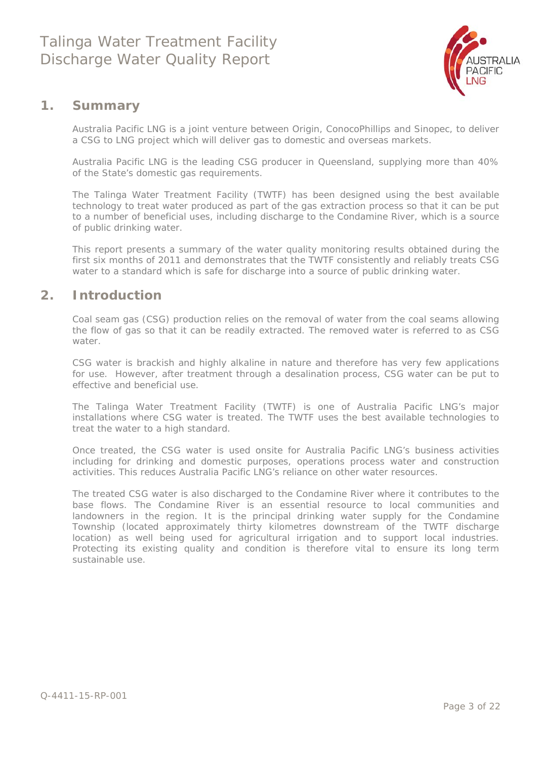

### **1. Summary**

Australia Pacific LNG is a joint venture between Origin, ConocoPhillips and Sinopec, to deliver a CSG to LNG project which will deliver gas to domestic and overseas markets.

Australia Pacific LNG is the leading CSG producer in Queensland, supplying more than 40% of the State's domestic gas requirements.

The Talinga Water Treatment Facility (TWTF) has been designed using the best available technology to treat water produced as part of the gas extraction process so that it can be put to a number of beneficial uses, including discharge to the Condamine River, which is a source of public drinking water.

This report presents a summary of the water quality monitoring results obtained during the first six months of 2011 and demonstrates that the TWTF consistently and reliably treats CSG water to a standard which is safe for discharge into a source of public drinking water.

### **2. Introduction**

Coal seam gas (CSG) production relies on the removal of water from the coal seams allowing the flow of gas so that it can be readily extracted. The removed water is referred to as CSG water.

CSG water is brackish and highly alkaline in nature and therefore has very few applications for use. However, after treatment through a desalination process, CSG water can be put to effective and beneficial use.

The Talinga Water Treatment Facility (TWTF) is one of Australia Pacific LNG's major installations where CSG water is treated. The TWTF uses the best available technologies to treat the water to a high standard.

Once treated, the CSG water is used onsite for Australia Pacific LNG's business activities including for drinking and domestic purposes, operations process water and construction activities. This reduces Australia Pacific LNG's reliance on other water resources.

The treated CSG water is also discharged to the Condamine River where it contributes to the base flows. The Condamine River is an essential resource to local communities and landowners in the region. It is the principal drinking water supply for the Condamine Township (located approximately thirty kilometres downstream of the TWTF discharge location) as well being used for agricultural irrigation and to support local industries. Protecting its existing quality and condition is therefore vital to ensure its long term sustainable use.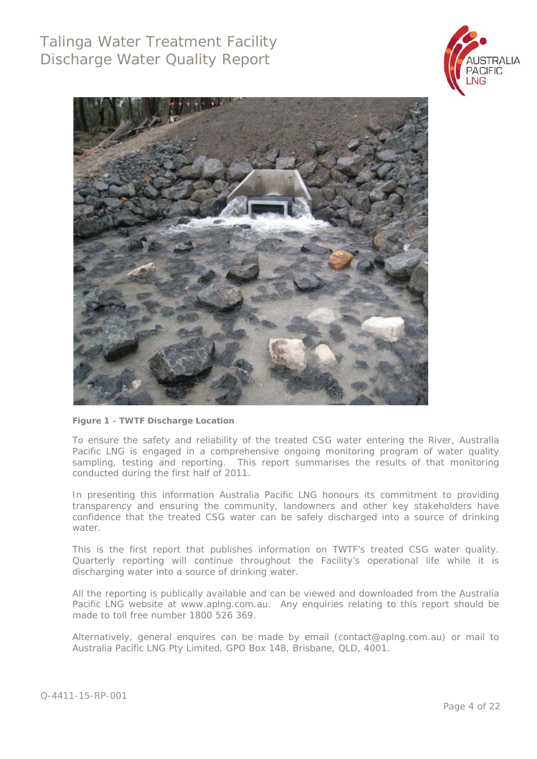



#### **Figure 1 - TWTF Discharge Location**

To ensure the safety and reliability of the treated CSG water entering the River, Australia Pacific LNG is engaged in a comprehensive ongoing monitoring program of water quality sampling, testing and reporting. This report summarises the results of that monitoring conducted during the first half of 2011.

In presenting this information Australia Pacific LNG honours its commitment to providing transparency and ensuring the community, landowners and other key stakeholders have confidence that the treated CSG water can be safely discharged into a source of drinking water.

This is the first report that publishes information on TWTF's treated CSG water quality. Quarterly reporting will continue throughout the Facility's operational life while it is discharging water into a source of drinking water.

All the reporting is publically available and can be viewed and downloaded from the Australia Pacific LNG website at www.aplng.com.au. Any enquiries relating to this report should be made to toll free number 1800 526 369.

Alternatively, general enquires can be made by email (contact@aplng.com.au) or mail to Australia Pacific LNG Pty Limited, GPO Box 148, Brisbane, QLD, 4001.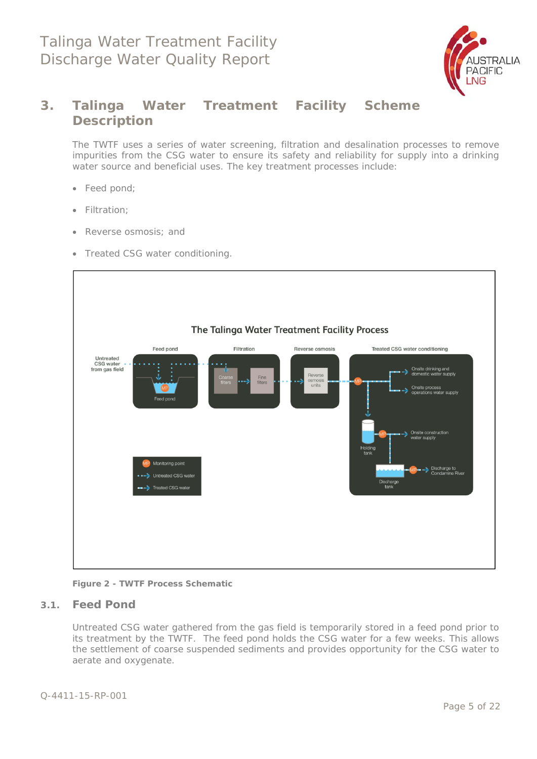

### **3. Talinga Water Treatment Facility Scheme Description**

The TWTF uses a series of water screening, filtration and desalination processes to remove impurities from the CSG water to ensure its safety and reliability for supply into a drinking water source and beneficial uses. The key treatment processes include:

- Feed pond;
- Filtration;
- Reverse osmosis; and
- Treated CSG water conditioning.



**Figure 2 - TWTF Process Schematic** 

#### **3.1. Feed Pond**

Untreated CSG water gathered from the gas field is temporarily stored in a feed pond prior to its treatment by the TWTF. The feed pond holds the CSG water for a few weeks. This allows the settlement of coarse suspended sediments and provides opportunity for the CSG water to aerate and oxygenate.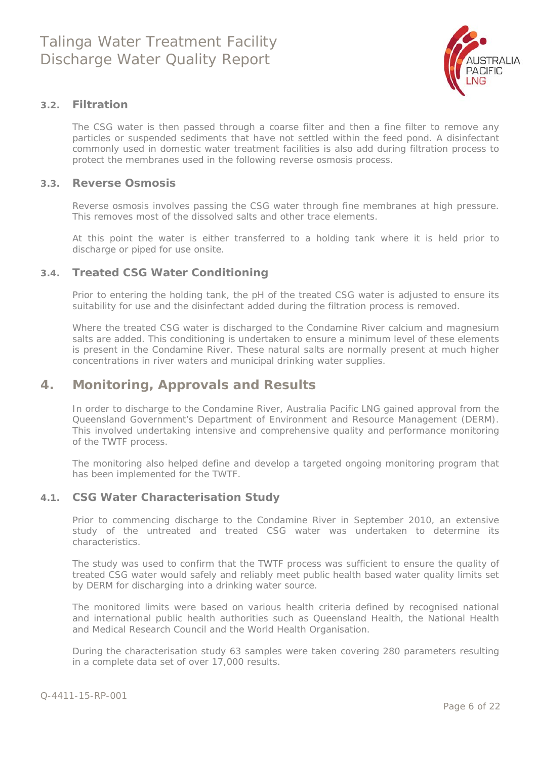

#### **3.2. Filtration**

The CSG water is then passed through a coarse filter and then a fine filter to remove any particles or suspended sediments that have not settled within the feed pond. A disinfectant commonly used in domestic water treatment facilities is also add during filtration process to protect the membranes used in the following reverse osmosis process.

#### **3.3. Reverse Osmosis**

Reverse osmosis involves passing the CSG water through fine membranes at high pressure. This removes most of the dissolved salts and other trace elements.

At this point the water is either transferred to a holding tank where it is held prior to discharge or piped for use onsite.

#### **3.4. Treated CSG Water Conditioning**

Prior to entering the holding tank, the pH of the treated CSG water is adjusted to ensure its suitability for use and the disinfectant added during the filtration process is removed.

Where the treated CSG water is discharged to the Condamine River calcium and magnesium salts are added. This conditioning is undertaken to ensure a minimum level of these elements is present in the Condamine River. These natural salts are normally present at much higher concentrations in river waters and municipal drinking water supplies.

### **4. Monitoring, Approvals and Results**

In order to discharge to the Condamine River, Australia Pacific LNG gained approval from the Queensland Government's Department of Environment and Resource Management (DERM). This involved undertaking intensive and comprehensive quality and performance monitoring of the TWTF process.

The monitoring also helped define and develop a targeted ongoing monitoring program that has been implemented for the TWTF.

#### **4.1. CSG Water Characterisation Study**

Prior to commencing discharge to the Condamine River in September 2010, an extensive study of the untreated and treated CSG water was undertaken to determine its characteristics.

The study was used to confirm that the TWTF process was sufficient to ensure the quality of treated CSG water would safely and reliably meet public health based water quality limits set by DERM for discharging into a drinking water source.

The monitored limits were based on various health criteria defined by recognised national and international public health authorities such as Queensland Health, the National Health and Medical Research Council and the World Health Organisation.

During the characterisation study 63 samples were taken covering 280 parameters resulting in a complete data set of over 17,000 results.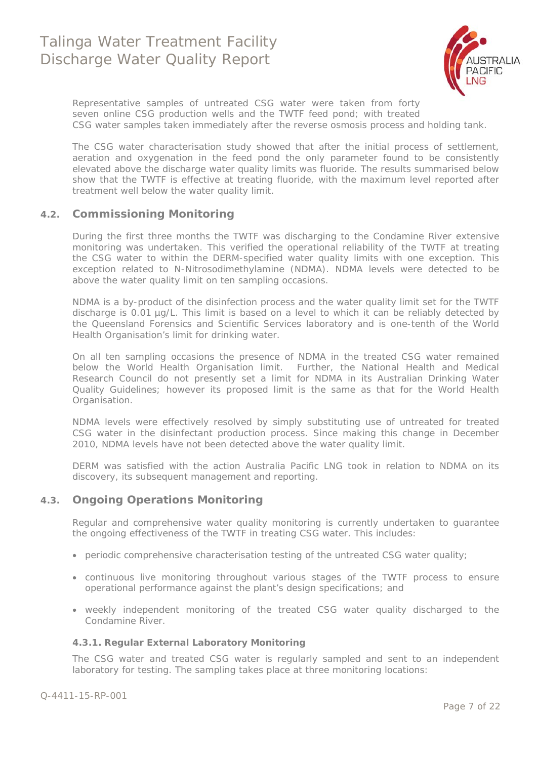

Representative samples of untreated CSG water were taken from forty seven online CSG production wells and the TWTF feed pond; with treated CSG water samples taken immediately after the reverse osmosis process and holding tank.

The CSG water characterisation study showed that after the initial process of settlement, aeration and oxygenation in the feed pond the only parameter found to be consistently elevated above the discharge water quality limits was fluoride. The results summarised below show that the TWTF is effective at treating fluoride, with the maximum level reported after treatment well below the water quality limit.

#### **4.2. Commissioning Monitoring**

During the first three months the TWTF was discharging to the Condamine River extensive monitoring was undertaken. This verified the operational reliability of the TWTF at treating the CSG water to within the DERM-specified water quality limits with one exception. This exception related to N-Nitrosodimethylamine (NDMA). NDMA levels were detected to be above the water quality limit on ten sampling occasions.

NDMA is a by-product of the disinfection process and the water quality limit set for the TWTF discharge is 0.01 µg/L. This limit is based on a level to which it can be reliably detected by the Queensland Forensics and Scientific Services laboratory and is one-tenth of the World Health Organisation's limit for drinking water.

On all ten sampling occasions the presence of NDMA in the treated CSG water remained below the World Health Organisation limit. Further, the National Health and Medical Research Council do not presently set a limit for NDMA in its Australian Drinking Water Quality Guidelines; however its proposed limit is the same as that for the World Health Organisation.

NDMA levels were effectively resolved by simply substituting use of untreated for treated CSG water in the disinfectant production process. Since making this change in December 2010, NDMA levels have not been detected above the water quality limit.

DERM was satisfied with the action Australia Pacific LNG took in relation to NDMA on its discovery, its subsequent management and reporting.

#### **4.3. Ongoing Operations Monitoring**

Regular and comprehensive water quality monitoring is currently undertaken to guarantee the ongoing effectiveness of the TWTF in treating CSG water. This includes:

- periodic comprehensive characterisation testing of the untreated CSG water quality;
- continuous live monitoring throughout various stages of the TWTF process to ensure operational performance against the plant's design specifications; and
- weekly independent monitoring of the treated CSG water quality discharged to the Condamine River.

#### **4.3.1. Regular External Laboratory Monitoring**

The CSG water and treated CSG water is regularly sampled and sent to an independent laboratory for testing. The sampling takes place at three monitoring locations: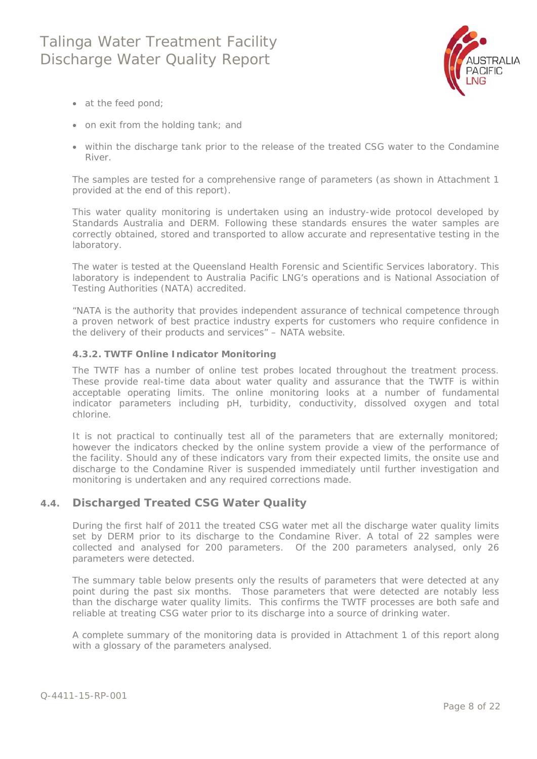

- at the feed pond;
- on exit from the holding tank; and
- within the discharge tank prior to the release of the treated CSG water to the Condamine River.

The samples are tested for a comprehensive range of parameters (as shown in Attachment 1 provided at the end of this report).

This water quality monitoring is undertaken using an industry-wide protocol developed by Standards Australia and DERM. Following these standards ensures the water samples are correctly obtained, stored and transported to allow accurate and representative testing in the laboratory.

The water is tested at the Queensland Health Forensic and Scientific Services laboratory. This laboratory is independent to Australia Pacific LNG's operations and is National Association of Testing Authorities (NATA) accredited.

*"NATA is the authority that provides independent assurance of technical competence through a proven network of best practice industry experts for customers who require confidence in the delivery of their products and services"* – NATA website.

#### **4.3.2. TWTF Online Indicator Monitoring**

The TWTF has a number of online test probes located throughout the treatment process. These provide real-time data about water quality and assurance that the TWTF is within acceptable operating limits. The online monitoring looks at a number of fundamental indicator parameters including pH, turbidity, conductivity, dissolved oxygen and total chlorine.

It is not practical to continually test all of the parameters that are externally monitored; however the indicators checked by the online system provide a view of the performance of the facility. Should any of these indicators vary from their expected limits, the onsite use and discharge to the Condamine River is suspended immediately until further investigation and monitoring is undertaken and any required corrections made.

#### **4.4. Discharged Treated CSG Water Quality**

During the first half of 2011 the treated CSG water met all the discharge water quality limits set by DERM prior to its discharge to the Condamine River. A total of 22 samples were collected and analysed for 200 parameters. Of the 200 parameters analysed, only 26 parameters were detected.

The summary table below presents only the results of parameters that were detected at any point during the past six months. Those parameters that were detected are notably less than the discharge water quality limits. This confirms the TWTF processes are both safe and reliable at treating CSG water prior to its discharge into a source of drinking water.

A complete summary of the monitoring data is provided in Attachment 1 of this report along with a glossary of the parameters analysed.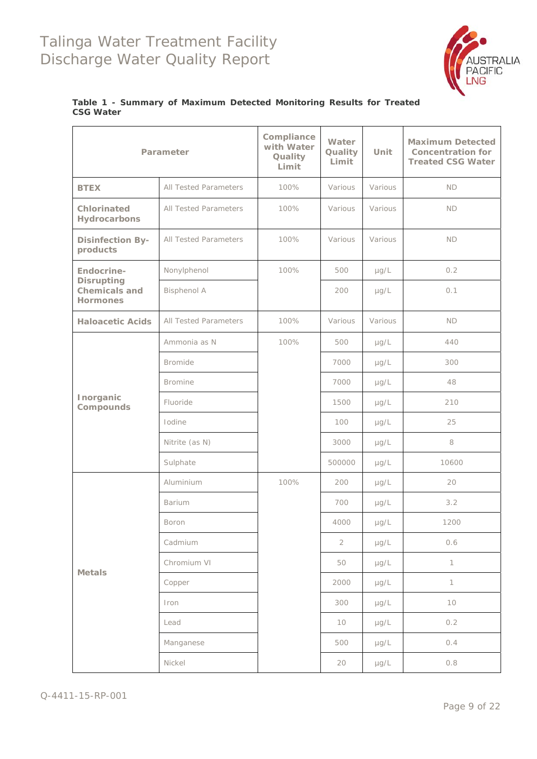

#### **Table 1 - Summary of Maximum Detected Monitoring Results for Treated CSG Water**

|                                                              | Parameter                    | Compliance<br>with Water<br>Quality<br>Limit | Water<br>Quality<br>Limit | <b>Unit</b> | <b>Maximum Detected</b><br><b>Concentration for</b><br><b>Treated CSG Water</b> |
|--------------------------------------------------------------|------------------------------|----------------------------------------------|---------------------------|-------------|---------------------------------------------------------------------------------|
| <b>BTEX</b>                                                  | All Tested Parameters        | 100%                                         | Various                   | Various     | <b>ND</b>                                                                       |
| Chlorinated<br>Hydrocarbons                                  | All Tested Parameters        | 100%                                         | Various                   | Various     | <b>ND</b>                                                                       |
| <b>Disinfection By-</b><br>products                          | <b>All Tested Parameters</b> | 100%                                         | Various                   | Various     | <b>ND</b>                                                                       |
| Endocrine-                                                   | Nonylphenol                  | 100%                                         | 500                       | µg/L        | 0.2                                                                             |
| <b>Disrupting</b><br><b>Chemicals and</b><br><b>Hormones</b> | <b>Bisphenol A</b>           |                                              | 200                       | µg/L        | 0.1                                                                             |
| <b>Haloacetic Acids</b>                                      | All Tested Parameters        | 100%                                         | Various                   | Various     | <b>ND</b>                                                                       |
|                                                              | Ammonia as N                 | 100%                                         | 500                       | $\mu$ g/L   | 440                                                                             |
|                                                              | <b>Bromide</b>               |                                              | 7000                      | $\mu$ g/L   | 300                                                                             |
|                                                              | <b>Bromine</b>               |                                              | 7000                      | $\mu$ g/L   | 48                                                                              |
| Inorganic<br>Compounds                                       | Fluoride                     |                                              | 1500                      | $\mu$ g/L   | 210                                                                             |
|                                                              | Iodine                       |                                              | 100                       | $\mu$ g/L   | 25                                                                              |
|                                                              | Nitrite (as N)               |                                              | 3000                      | $\mu$ g/L   | 8                                                                               |
|                                                              | Sulphate                     |                                              | 500000                    | $\mu$ g/L   | 10600                                                                           |
|                                                              | Aluminium                    | 100%                                         | 200                       | $\mu$ g/L   | 20                                                                              |
|                                                              | Barium                       |                                              | 700                       | $\mu$ g/L   | 3.2                                                                             |
|                                                              | <b>Boron</b>                 |                                              | 4000                      | µg/L        | 1200                                                                            |
|                                                              | Cadmium                      |                                              | $\overline{2}$            | $\mu$ g/L   | 0.6                                                                             |
|                                                              | Chromium VI                  |                                              | 50                        | $\mu$ g/L   | $\mathbf{1}$                                                                    |
| <b>Metals</b>                                                | Copper                       |                                              | 2000                      | $\mu$ g/L   | $\mathbf{1}$                                                                    |
|                                                              | Iron                         |                                              | 300                       | $\mu$ g/L   | 10                                                                              |
|                                                              | Lead                         |                                              | 10                        | µg/L        | 0.2                                                                             |
|                                                              | Manganese                    |                                              | 500                       | $\mu$ g/L   | 0.4                                                                             |
|                                                              | Nickel                       |                                              | 20                        | µg/L        | 0.8                                                                             |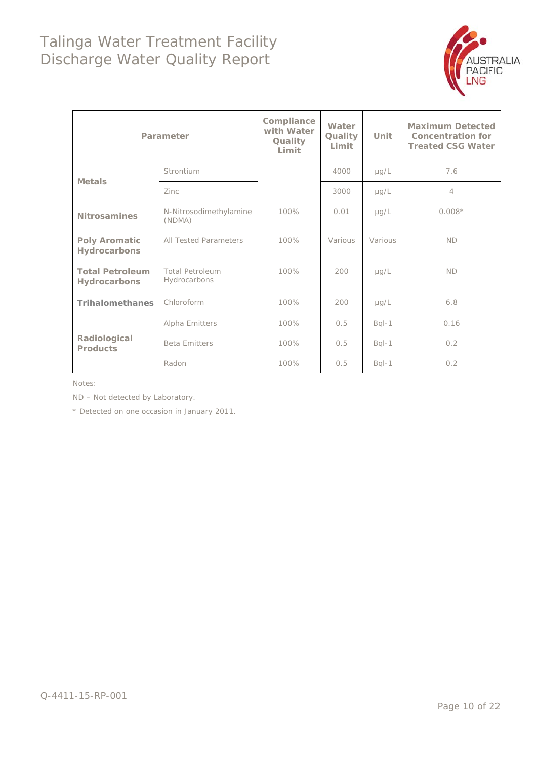

|                                        | Parameter                              | Compliance<br>with Water<br>Quality<br>Limit | Water<br>Quality<br>Limit | Unit      | <b>Maximum Detected</b><br><b>Concentration for</b><br><b>Treated CSG Water</b> |
|----------------------------------------|----------------------------------------|----------------------------------------------|---------------------------|-----------|---------------------------------------------------------------------------------|
| <b>Metals</b>                          | Strontium                              |                                              | 4000                      | $\mu$ g/L | 7.6                                                                             |
|                                        | Zinc.                                  |                                              | 3000                      | $\mu$ g/L | $\overline{4}$                                                                  |
| <b>Nitrosamines</b>                    | N-Nitrosodimethylamine<br>(NDMA)       | 100%                                         | 0.01                      | $\mu$ g/L | $0.008*$                                                                        |
| <b>Poly Aromatic</b><br>Hydrocarbons   | 100%                                   | Various                                      | Various                   | <b>ND</b> |                                                                                 |
| <b>Total Petroleum</b><br>Hydrocarbons | <b>Total Petroleum</b><br>Hydrocarbons | 100%                                         | 200                       | $\mu$ g/L | <b>ND</b>                                                                       |
| <b>Trihalomethanes</b>                 | Chloroform                             | 100%                                         | 200                       | $\mu$ g/L | 6.8                                                                             |
|                                        | Alpha Emitters                         | 100%                                         | 0.5                       | $Bql-1$   | 0.16                                                                            |
| Radiological<br><b>Products</b>        | <b>Beta Emitters</b>                   | 100%                                         | 0.5                       | $Bql-1$   | 0.2                                                                             |
|                                        | Radon                                  | 100%                                         | 0.5                       | $Bql-1$   | 0.2                                                                             |

Notes:

ND – Not detected by Laboratory.

\* Detected on one occasion in January 2011.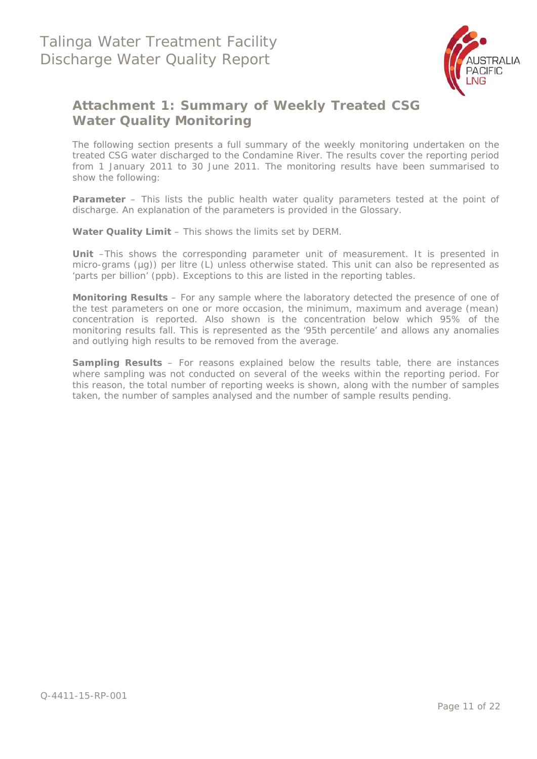

### **Attachment 1: Summary of Weekly Treated CSG Water Quality Monitoring**

The following section presents a full summary of the weekly monitoring undertaken on the treated CSG water discharged to the Condamine River. The results cover the reporting period from 1 January 2011 to 30 June 2011. The monitoring results have been summarised to show the following:

**Parameter** – This lists the public health water quality parameters tested at the point of discharge. An explanation of the parameters is provided in the Glossary.

**Water Quality Limit** – This shows the limits set by DERM.

**Unit** –This shows the corresponding parameter unit of measurement. It is presented in micro-grams (µg)) per litre (L) unless otherwise stated. This unit can also be represented as 'parts per billion' (ppb). Exceptions to this are listed in the reporting tables.

**Monitoring Results** – For any sample where the laboratory detected the presence of one of the test parameters on one or more occasion, the minimum, maximum and average (mean) concentration is reported. Also shown is the concentration below which 95% of the monitoring results fall. This is represented as the '95th percentile' and allows any anomalies and outlying high results to be removed from the average.

**Sampling Results** – For reasons explained below the results table, there are instances where sampling was not conducted on several of the weeks within the reporting period. For this reason, the total number of reporting weeks is shown, along with the number of samples taken, the number of samples analysed and the number of sample results pending.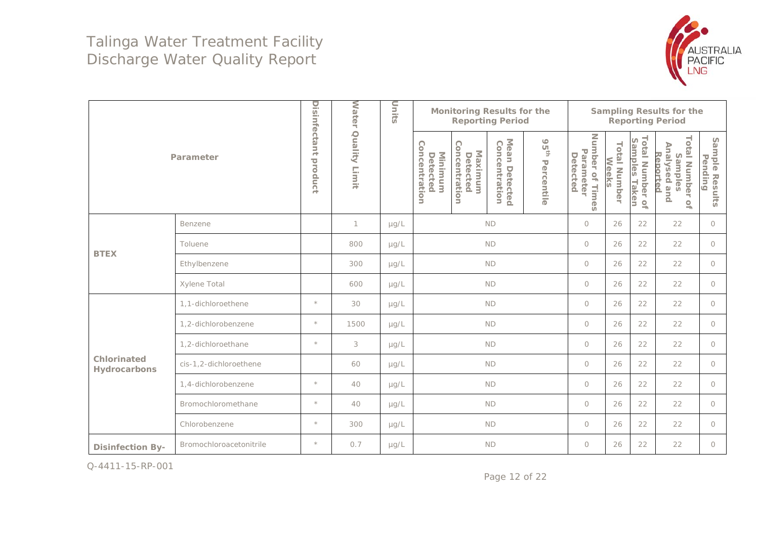

|                             |                         |                         | <b>Water</b>     | Units     |                                      | <b>Monitoring Results for the</b>           | <b>Reporting Period</b>           |                 | <b>Sampling Results for the</b><br><b>Reporting Period</b> |                       |                                                            |                                                                                          |                           |  |
|-----------------------------|-------------------------|-------------------------|------------------|-----------|--------------------------------------|---------------------------------------------|-----------------------------------|-----------------|------------------------------------------------------------|-----------------------|------------------------------------------------------------|------------------------------------------------------------------------------------------|---------------------------|--|
|                             | Parameter               | Disinfectant<br>product | Quality<br>Limit |           | Concentration<br>Minimum<br>Detected | Concentration<br><b>Maximum</b><br>Detected | Mean<br>Concentration<br>Detected | 95th Percentile | Number<br>Parameter<br>Detected<br>of Times                | Total Number<br>Weeks | Total Number o'<br>Samples Taken<br>$\mathcal{Q}_\text{t}$ | <b>Total Number</b><br>Analysed<br>Reported<br>Samples<br>and<br>$\mathsf{Q}_\mathrm{t}$ | Sample Results<br>Pending |  |
|                             | Benzene                 |                         | 1                | $\mu$ g/L |                                      | $\circ$                                     | 26                                | 22              | 22                                                         | $\circ$               |                                                            |                                                                                          |                           |  |
|                             |                         | 800                     | $\mu$ g/L        | <b>ND</b> |                                      |                                             |                                   | $\circ$         | 26                                                         | 22                    | 22                                                         | $\circ$                                                                                  |                           |  |
| <b>BTEX</b>                 | Ethylbenzene            |                         | 300              | $\mu$ g/L |                                      | $\circ$                                     | 26                                | 22              | 22                                                         | $\circ$               |                                                            |                                                                                          |                           |  |
|                             | Xylene Total            |                         | 600              | $\mu$ g/L | <b>ND</b>                            |                                             |                                   |                 | $\circ$                                                    | 26                    | 22                                                         | 22                                                                                       | $\circ$                   |  |
|                             | 1,1-dichloroethene      | $\star$                 | 30               | $\mu g/L$ | <b>ND</b>                            |                                             |                                   | $\circ$         | 26                                                         | 22                    | 22                                                         | $\circ$                                                                                  |                           |  |
|                             | 1,2-dichlorobenzene     | $\star$                 | 1500             | $\mu$ g/L |                                      |                                             | <b>ND</b>                         |                 | $\circ$                                                    | 26                    | 22                                                         | 22                                                                                       | $\circ$                   |  |
|                             | 1,2-dichloroethane      | $\star$                 | 3                | $\mu$ g/L |                                      |                                             | <b>ND</b>                         |                 | $\circ$                                                    | 26                    | 22                                                         | 22                                                                                       | $\circ$                   |  |
| Chlorinated<br>Hydrocarbons | cis-1,2-dichloroethene  |                         | 60               | $\mu$ g/L |                                      |                                             | <b>ND</b>                         |                 | $\circ$                                                    | 26                    | 22                                                         | 22                                                                                       | $\circ$                   |  |
|                             | 1,4-dichlorobenzene     | $\star$                 | 40               | $\mu$ g/L |                                      |                                             | <b>ND</b>                         |                 | $\bigcirc$                                                 | 26                    | 22                                                         | 22                                                                                       | $\circ$                   |  |
|                             | Bromochloromethane      | $\star$                 | 40               | $\mu$ g/L |                                      |                                             | <b>ND</b>                         |                 | $\bigcirc$                                                 | 26                    | 22                                                         | 22                                                                                       | $\circ$                   |  |
|                             | Chlorobenzene           | $\star$                 | 300              | $\mu$ g/L | <b>ND</b>                            |                                             |                                   |                 | $\circ$                                                    | 26                    | 22                                                         | 22                                                                                       | $\circ$                   |  |
| <b>Disinfection By-</b>     | Bromochloroacetonitrile | $\star$                 | 0.7              | $\mu$ g/L |                                      |                                             | <b>ND</b>                         |                 | $\circ$                                                    | 26                    | 22                                                         | 22                                                                                       | $\circ$                   |  |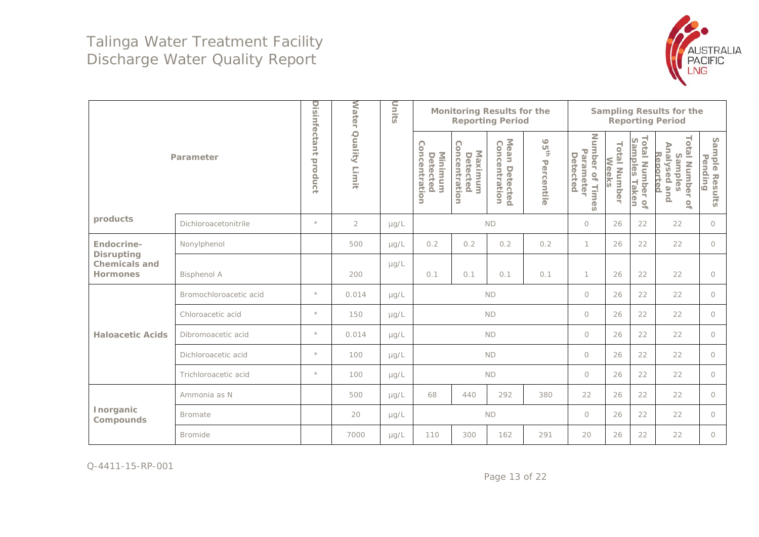

|                                                       |                        |                         | <b>Water</b>     | Units     |                                      | <b>Monitoring Results for the</b><br><b>Reporting Period</b> |                                            |                                | <b>Sampling Results for the</b><br><b>Reporting Period</b> |                              |                                             |                                                                                                                     |                                   |  |
|-------------------------------------------------------|------------------------|-------------------------|------------------|-----------|--------------------------------------|--------------------------------------------------------------|--------------------------------------------|--------------------------------|------------------------------------------------------------|------------------------------|---------------------------------------------|---------------------------------------------------------------------------------------------------------------------|-----------------------------------|--|
|                                                       | Parameter              | Disinfectant<br>product | Quality<br>Limit |           | Concentration<br>Minimum<br>Detected | Concentration<br>Maximum<br>Detected                         | Mean Detected<br>Concentration<br>Detected | 95 <sup>th</sup><br>Percentile | Number of<br>Parameter<br>Detected<br>Times                | <b>Total Number</b><br>Weeks | Total Number o<br>Samples Taken<br>$\Omega$ | <b>Total Number</b><br>Analysed and<br>Reported<br>Samples<br>$\ensuremath{\mathrel{\mathop{\mathbf{G}}}\nolimits}$ | Sample Resu<br>Pending<br>Results |  |
| products                                              | Dichloroacetonitrile   | $\star$                 | $\overline{2}$   | $\mu$ g/L |                                      | <b>ND</b>                                                    |                                            |                                |                                                            | 26                           | 22                                          | 22                                                                                                                  | $\circ$                           |  |
| Endocrine-                                            | Nonylphenol            |                         | 500              | $\mu g/L$ | 0.2                                  | 0.2                                                          | 0.2                                        | 0.2                            | 1                                                          | 26                           | 22                                          | 22                                                                                                                  | $\circ$                           |  |
| <b>Disrupting</b><br><b>Chemicals and</b><br>Hormones | <b>Bisphenol A</b>     |                         | 200              | $\mu$ g/L | 0.1                                  | 0.1                                                          | 0.1                                        | 0.1                            | 1                                                          | 26                           | 22                                          | 22                                                                                                                  | $\circ$                           |  |
|                                                       | Bromochloroacetic acid | $\star$                 | 0.014            | $\mu$ g/L |                                      | <b>ND</b>                                                    |                                            | $\circ$                        | 26                                                         | 22                           | 22                                          | $\circ$                                                                                                             |                                   |  |
|                                                       | Chloroacetic acid      | $\star$                 | 150              | $\mu$ g/L |                                      |                                                              | <b>ND</b>                                  |                                | $\circ$                                                    | 26                           | 22                                          | 22                                                                                                                  | $\circ$                           |  |
| <b>Haloacetic Acids</b>                               | Dibromoacetic acid     | $\star$                 | 0.014            | $\mu$ g/L |                                      |                                                              | <b>ND</b>                                  |                                | $\circ$                                                    | 26                           | 22                                          | 22                                                                                                                  | $\circ$                           |  |
|                                                       | Dichloroacetic acid    | $\star$                 | 100              | $\mu$ g/L |                                      |                                                              | <b>ND</b>                                  |                                | $\circ$                                                    | 26                           | 22                                          | 22                                                                                                                  | $\circ$                           |  |
|                                                       | Trichloroacetic acid   | $\star$                 | 100              | $\mu$ g/L |                                      |                                                              | <b>ND</b>                                  |                                | $\circ$                                                    | 26                           | 22                                          | 22                                                                                                                  | $\circ$                           |  |
|                                                       | Ammonia as N           |                         | 500              | $\mu$ g/L | 68                                   | 440                                                          | 292                                        | 380                            | 22                                                         | 26                           | 22                                          | 22                                                                                                                  | $\circ$                           |  |
| Inorganic<br>Compounds                                | <b>Bromate</b>         |                         | 20               | $\mu$ g/L |                                      |                                                              | $\mathsf{ND}$                              |                                | $\bigcirc$                                                 | 26                           | 22                                          | 22                                                                                                                  | $\circ$                           |  |
|                                                       | <b>Bromide</b>         |                         | 7000             | $\mu$ g/L | 110                                  | 300                                                          | 162                                        | 291                            | 20                                                         | 26                           | 22                                          | 22                                                                                                                  | $\circ$                           |  |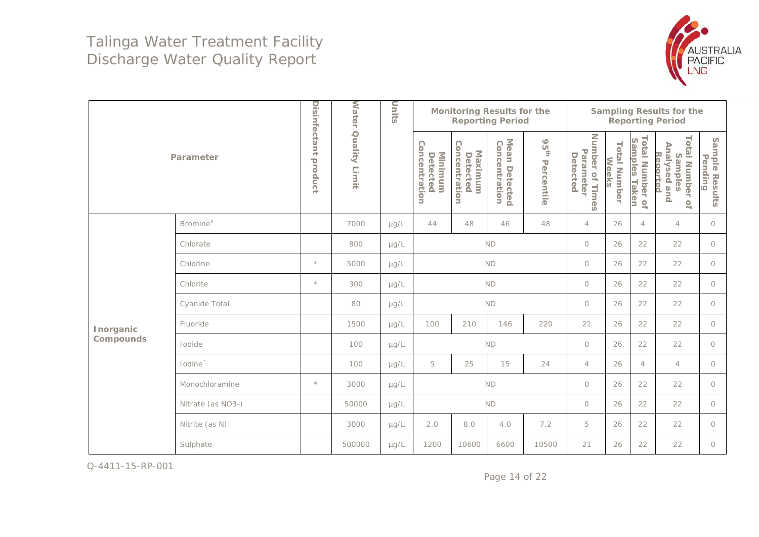

|           |                     |                      | <b>Water</b>     | Units     |                                      |                                      | <b>Monitoring Results for the</b><br><b>Reporting Period</b> |                             | <b>Sampling Results for the</b><br><b>Reporting Period</b> |                       |                                     |                                                                                          |                           |  |  |
|-----------|---------------------|----------------------|------------------|-----------|--------------------------------------|--------------------------------------|--------------------------------------------------------------|-----------------------------|------------------------------------------------------------|-----------------------|-------------------------------------|------------------------------------------------------------------------------------------|---------------------------|--|--|
|           | Parameter           | Disinfectant product | Quality<br>Limit |           | Concentration<br>Minimum<br>Detected | Concentration<br>Maximum<br>Detected | Mean Detected<br>Concentration<br>Detected                   | 95 <sup>th</sup> Percentile | Number of Times<br>Parameter<br>Detected                   | Total Number<br>Weeks | Total Number of<br>Samples<br>Taken | <b>Total Number</b><br>Analysed<br>Reported<br>Samples<br>pue<br>$\mathsf{Q}_\mathsf{h}$ | Sample Results<br>Pending |  |  |
|           | Bromine $*$         |                      | 7000             | $\mu$ g/L | 44                                   | $\overline{4}$                       | 26                                                           | $\overline{4}$              | $\overline{4}$                                             | $\circ$               |                                     |                                                                                          |                           |  |  |
|           | Chlorate            |                      | 800              | $\mu$ g/L |                                      |                                      | $\circlearrowright$                                          | 26                          | 22                                                         | 22                    | $\circ$                             |                                                                                          |                           |  |  |
|           | Chlorine            | $\star$              | 5000             | $\mu$ g/L |                                      | <b>ND</b>                            |                                                              | $\circlearrowright$         | 26                                                         | 22                    | 22                                  | $\circ$                                                                                  |                           |  |  |
|           | Chlorite            | $\star$              | 300              | $\mu$ g/L |                                      | <b>ND</b>                            |                                                              | $\circlearrowright$         | 26                                                         | 22                    | 22                                  | $\circ$                                                                                  |                           |  |  |
|           | Cyanide Total       |                      | 80               | $\mu$ g/L |                                      |                                      | ND                                                           |                             | $\circ$                                                    | 26                    | 22                                  | 22                                                                                       | $\circ$                   |  |  |
| Inorganic | Fluoride            |                      | 1500             | $\mu$ g/L | 100                                  | 210                                  | 146                                                          | 220                         | 21                                                         | 26                    | 22                                  | 22                                                                                       | $\circ$                   |  |  |
| Compounds | Iodide              |                      | 100              | $\mu$ g/L |                                      |                                      | <b>ND</b>                                                    |                             | $\circlearrowright$                                        | 26                    | 22                                  | 22                                                                                       | $\circ$                   |  |  |
|           | lodine <sup>"</sup> |                      | 100              | $\mu$ g/L | 5                                    | 25                                   | 15                                                           | 24                          | $\overline{4}$                                             | 26                    | $\overline{4}$                      | $\overline{4}$                                                                           | $\circ$                   |  |  |
|           | Monochloramine      | $\star$              | 3000             | $\mu$ g/L |                                      |                                      | <b>ND</b>                                                    |                             | $\circlearrowright$                                        | 26                    | 22                                  | 22                                                                                       | $\circ$                   |  |  |
|           | Nitrate (as NO3-)   |                      | 50000            | $\mu$ g/L |                                      |                                      | <b>ND</b>                                                    |                             | $\circlearrowright$                                        | 26                    | 22                                  | 22                                                                                       | $\circ$                   |  |  |
|           | Nitrite (as N)      |                      | 3000             | $\mu$ g/L | 2.0                                  | 8.0                                  | 4.0                                                          | 7.2                         | 5                                                          | 26                    | 22                                  | 22                                                                                       | $\bigcirc$                |  |  |
|           | Sulphate            |                      | 500000           | $\mu$ g/L | 1200                                 | 10600                                | 6600                                                         | 10500                       | 21                                                         | 26                    | 22                                  | 22                                                                                       | $\circ$                   |  |  |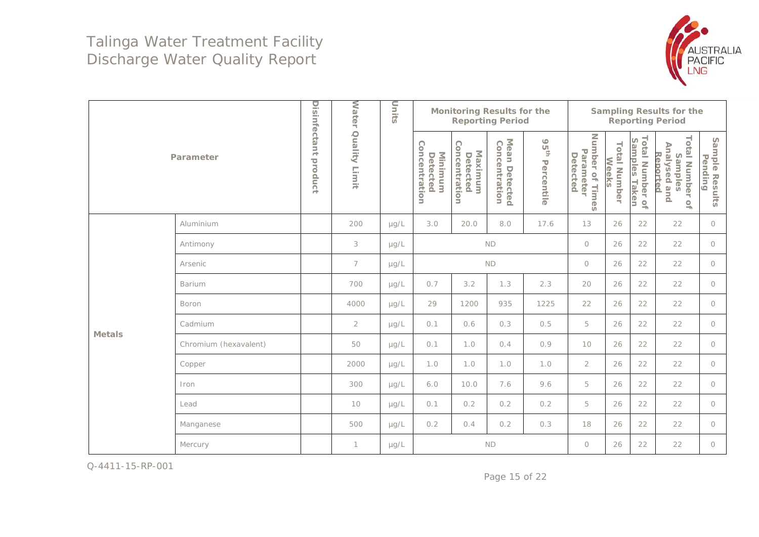

|               |                       |                      | <b>Water</b>     | Units     |                                      | <b>Monitoring Results for the</b><br><b>Sampling Results for the</b><br><b>Reporting Period</b><br><b>Reporting Period</b> |                                            |                             |                                          |                       |                                                            |                                                                                                                     |                           |
|---------------|-----------------------|----------------------|------------------|-----------|--------------------------------------|----------------------------------------------------------------------------------------------------------------------------|--------------------------------------------|-----------------------------|------------------------------------------|-----------------------|------------------------------------------------------------|---------------------------------------------------------------------------------------------------------------------|---------------------------|
|               | Parameter             | Disinfectant product | Quality<br>Limit |           | Concentration<br>Minimum<br>Detected | Concentration<br><b>Maximum</b><br>Detected                                                                                | Mean Detected<br>Concentration<br>Detected | 95 <sup>th</sup> Percentile | Number of Times<br>Parameter<br>Detected | Total Number<br>Weeks | Total Number o'<br>Samples Taken<br>$\mathcal{Q}_\text{h}$ | <b>Total Number</b><br>Analysed and<br>Reported<br>Samples<br>$\ensuremath{\mathrel{\mathop{\mathbf{G}}}\nolimits}$ | Sample Results<br>Pending |
|               | Aluminium             |                      | 200              | $\mu g/L$ | 3.0                                  | 20.0                                                                                                                       | 8.0                                        | 17.6                        | 13                                       | 26                    | 22                                                         | 22                                                                                                                  | $\circ$                   |
|               | Antimony              |                      | 3                | $\mu$ g/L |                                      | $\circ$                                                                                                                    | 26                                         | 22                          | 22                                       | $\circ$               |                                                            |                                                                                                                     |                           |
|               | Arsenic               |                      | $\overline{7}$   | $\mu$ g/L |                                      | $\circ$                                                                                                                    | 26                                         | 22                          | 22                                       | $\circ$               |                                                            |                                                                                                                     |                           |
|               | <b>Barium</b>         |                      | 700              | $\mu$ g/L | 0.7                                  | 3.2                                                                                                                        | 1.3                                        | 2.3                         | 20                                       | 26                    | 22                                                         | 22                                                                                                                  | $\circ$                   |
|               | Boron                 |                      | 4000             | $\mu$ g/L | 29                                   | 1200                                                                                                                       | 935                                        | 1225                        | 22                                       | 26                    | 22                                                         | 22                                                                                                                  | $\circ$                   |
| <b>Metals</b> | Cadmium               |                      | $\overline{2}$   | $\mu$ g/L | 0.1                                  | 0.6                                                                                                                        | 0.3                                        | 0.5                         | 5                                        | 26                    | 22                                                         | 22                                                                                                                  | $\circ$                   |
|               | Chromium (hexavalent) |                      | 50               | $\mu$ g/L | 0.1                                  | 1.0                                                                                                                        | 0.4                                        | 0.9                         | 10                                       | 26                    | 22                                                         | 22                                                                                                                  | $\circ$                   |
|               | Copper                |                      | 2000             | $\mu$ g/L | 1.0                                  | 1.0                                                                                                                        | 1.0                                        | 1.0                         | $\overline{2}$                           | 26                    | 22                                                         | 22                                                                                                                  | $\circ$                   |
|               | Iron                  |                      | 300              | µg/L      | 6.0                                  | 10.0                                                                                                                       | 7.6                                        | 9.6                         | 5                                        | 26                    | 22                                                         | 22                                                                                                                  | $\circ$                   |
|               | Lead                  |                      | 10               | µg/L      | 0.1                                  | 0.2                                                                                                                        | 0.2                                        | 0.2                         | 5                                        | 26                    | 22                                                         | 22                                                                                                                  | $\circ$                   |
|               | Manganese             |                      | 500              | $\mu$ g/L | 0.2                                  | 0.4                                                                                                                        | 0.2                                        | 0.3                         | 18                                       | 26                    | 22                                                         | 22                                                                                                                  | $\circ$                   |
|               | Mercury               |                      | 1                | $\mu$ g/L |                                      |                                                                                                                            | $\mathsf{ND}$                              |                             | $\circlearrowright$                      | 26                    | 22                                                         | 22                                                                                                                  | $\circ$                   |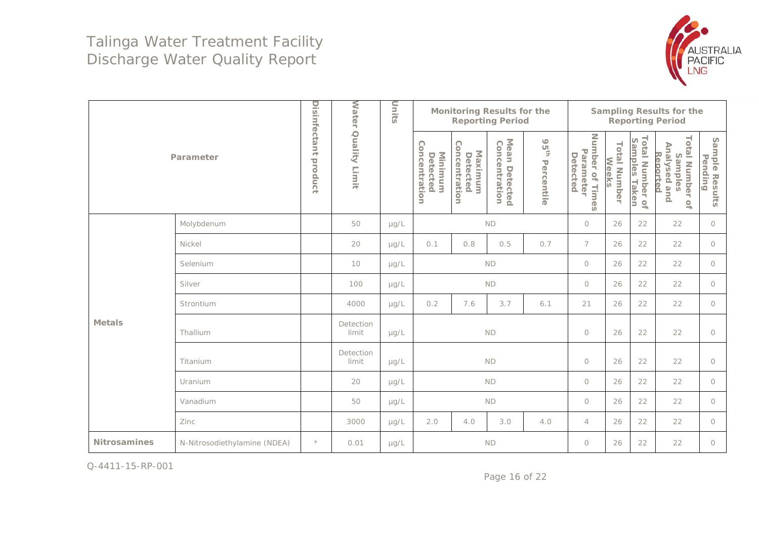

|                     |                              |                      | <b>Water</b>       | Units     |                                      | <b>Monitoring Results for the</b><br><b>Sampling Results for the</b><br><b>Reporting Period</b><br><b>Reporting Period</b> |                                            |                             |                                          |                              |                                  |                                                                                      |                           |
|---------------------|------------------------------|----------------------|--------------------|-----------|--------------------------------------|----------------------------------------------------------------------------------------------------------------------------|--------------------------------------------|-----------------------------|------------------------------------------|------------------------------|----------------------------------|--------------------------------------------------------------------------------------|---------------------------|
|                     | Parameter                    | Disinfectant product | Quality<br>Limit   |           | Concentration<br>Minimum<br>Detected | Concentration<br>Maximum<br>Detected                                                                                       | Mean Detected<br>Concentration<br>Detected | 95 <sup>th</sup> Percentile | Number of Times<br>Parameter<br>Detected | <b>Total Number</b><br>Weeks | Total Number of<br>Samples Taken | <b>Total Number</b><br>Analysed and<br>Reported<br>Samples<br>$\mathcal{Q}_\text{h}$ | Sample Results<br>Pending |
|                     | Molybdenum                   |                      | 50                 | $\mu$ g/L | <b>ND</b>                            |                                                                                                                            |                                            |                             | $\circ$                                  | 26                           | 22                               | 22                                                                                   | $\circ$                   |
|                     | Nickel                       |                      | 20                 | µg/L      | 0.1                                  | 0.8                                                                                                                        | 0.5                                        | 0.7                         | $\overline{7}$                           | 26                           | 22                               | 22                                                                                   | $\circ$                   |
|                     | Selenium                     |                      | 10                 | $\mu$ g/L |                                      | $\bigcirc$                                                                                                                 | 26                                         | 22                          | 22                                       | $\circ$                      |                                  |                                                                                      |                           |
|                     | Silver                       |                      | 100                | $\mu$ g/L |                                      | $\circlearrowright$                                                                                                        | 26                                         | 22                          | 22                                       | $\circ$                      |                                  |                                                                                      |                           |
|                     | Strontium                    |                      | 4000               | $\mu$ g/L | 0.2                                  | 7.6                                                                                                                        | 3.7                                        | 6.1                         | 21                                       | 26                           | 22                               | 22                                                                                   | $\circ$                   |
| <b>Metals</b>       | Thallium                     |                      | Detection<br>limit | $\mu$ g/L |                                      |                                                                                                                            | $\mathsf{ND}$                              |                             | $\bigcirc$                               | 26                           | 22                               | 22                                                                                   | $\circ$                   |
|                     | Titanium                     |                      | Detection<br>limit | $\mu$ g/L |                                      |                                                                                                                            | <b>ND</b>                                  |                             | $\bigcirc$                               | 26                           | 22                               | 22                                                                                   | $\circlearrowright$       |
|                     | Uranium                      |                      | 20                 | $\mu$ g/L |                                      |                                                                                                                            | ND                                         |                             | $\circlearrowright$                      | 26                           | 22                               | 22                                                                                   | $\circ$                   |
|                     | Vanadium                     |                      | 50                 | $\mu$ g/L |                                      |                                                                                                                            | $\mathsf{ND}$                              |                             | $\circlearrowright$                      | 26                           | 22                               | 22                                                                                   | $\circ$                   |
|                     | Zinc                         |                      | 3000               | µg/L      | 2.0                                  | 4.0                                                                                                                        | 3.0                                        | 4.0                         | $\overline{4}$                           | 26                           | 22                               | 22                                                                                   | $\circ$                   |
| <b>Nitrosamines</b> | N-Nitrosodiethylamine (NDEA) | $\star$              | 0.01               | $\mu$ g/L |                                      | <b>ND</b>                                                                                                                  |                                            |                             |                                          | 26                           | 22                               | 22                                                                                   | $\circ$                   |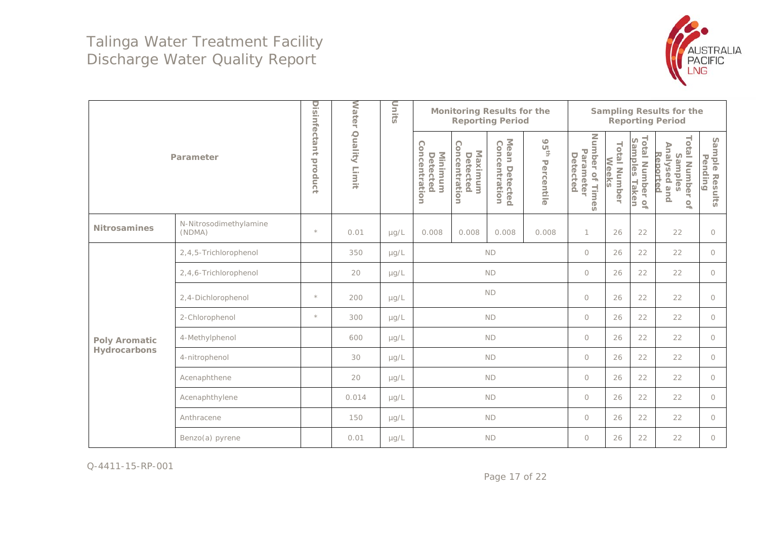

|                      | Parameter<br>N-Nitrosodimethylamine |         | <b>Water</b>     | Units     |                                      |                                      | <b>Monitoring Results for the</b><br><b>Reporting Period</b> |                             | <b>Sampling Results for the</b><br><b>Reporting Period</b> |                              |                                  |                                                                                      |                                   |
|----------------------|-------------------------------------|---------|------------------|-----------|--------------------------------------|--------------------------------------|--------------------------------------------------------------|-----------------------------|------------------------------------------------------------|------------------------------|----------------------------------|--------------------------------------------------------------------------------------|-----------------------------------|
|                      |                                     |         | Quality<br>Limit |           | Concentration<br>Minimum<br>Detected | Concentration<br>Maximum<br>Detected | Mean Detected<br>Concentration<br>Detected                   | 95 <sup>th</sup> Percentile | Number of<br>Parameter<br>Detected<br>Times                | <b>Total Number</b><br>Weeks | Total Number of<br>Samples Taken | <b>Total Number</b><br>Analysed and<br>Reported<br>Samples<br>$\mathcal{Q}_\text{h}$ | Sample Resu<br>Pending<br>Results |
| <b>Nitrosamines</b>  | (NDMA)                              | $\star$ | 0.01             | $\mu$ g/L | 0.008<br>0.008<br>0.008<br>0.008     |                                      |                                                              |                             | 1                                                          | 26                           | 22                               | 22                                                                                   | $\circ$                           |
|                      | 2,4,5-Trichlorophenol               |         | 350              | $\mu$ g/L | <b>ND</b>                            |                                      |                                                              |                             | $\circ$                                                    | 26                           | 22                               | 22                                                                                   | $\circ$                           |
|                      | 2,4,6-Trichlorophenol               |         | 20               | $\mu$ g/L | <b>ND</b>                            |                                      |                                                              |                             | $\bigcirc$                                                 | 26                           | 22                               | 22                                                                                   | $\circ$                           |
|                      | 2,4-Dichlorophenol                  | $\star$ | 200              | $\mu$ g/L |                                      | ND                                   |                                                              |                             |                                                            | 26                           | 22                               | 22                                                                                   | $\circ$                           |
|                      | 2-Chlorophenol                      | $\star$ | 300              | $\mu$ g/L |                                      |                                      | <b>ND</b>                                                    |                             | $\circlearrowright$                                        | 26                           | 22                               | 22                                                                                   | $\circ$                           |
| <b>Poly Aromatic</b> | 4-Methylphenol                      |         | 600              | $\mu$ g/L |                                      |                                      | <b>ND</b>                                                    |                             | $\bigcirc$                                                 | 26                           | 22                               | 22                                                                                   | $\circ$                           |
| Hydrocarbons         | 4-nitrophenol                       |         | 30               | $\mu$ g/L |                                      |                                      | ND                                                           |                             | $\circ$                                                    | 26                           | 22                               | 22                                                                                   | $\circ$                           |
|                      | Acenaphthene                        |         | 20               | $\mu$ g/L |                                      |                                      | ND                                                           |                             | $\circ$                                                    | 26                           | 22                               | 22                                                                                   | $\circ$                           |
|                      | Acenaphthylene                      |         | 0.014            | $\mu$ g/L |                                      |                                      | <b>ND</b>                                                    |                             | $\circ$                                                    | 26                           | 22                               | 22                                                                                   | $\circ$                           |
|                      | Anthracene                          |         | 150              | $\mu$ g/L |                                      |                                      | <b>ND</b>                                                    |                             | $\circlearrowright$                                        | 26                           | 22                               | 22                                                                                   | $\circ$                           |
|                      | Benzo(a) pyrene                     |         | 0.01             | $\mu$ g/L |                                      |                                      | <b>ND</b>                                                    |                             | $\circ$                                                    | 26                           | 22                               | 22                                                                                   | $\circ$                           |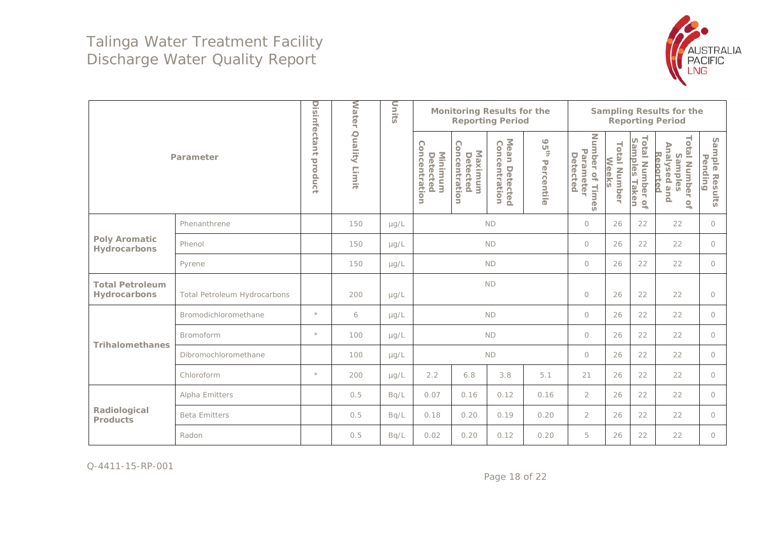

|                                        |                              |                         | <b>Water</b>     | Units     |      | <b>Monitoring Results for the</b><br><b>Reporting Period</b> |                                            |                             |                                          |                              | <b>Sampling Results for the</b><br><b>Reporting Period</b>        |                                                                                         |                              |  |  |  |
|----------------------------------------|------------------------------|-------------------------|------------------|-----------|------|--------------------------------------------------------------|--------------------------------------------|-----------------------------|------------------------------------------|------------------------------|-------------------------------------------------------------------|-----------------------------------------------------------------------------------------|------------------------------|--|--|--|
|                                        | Parameter                    | Disinfectant<br>product | Quality<br>Limit |           |      | C<br>oncentration<br>Maximum<br>Detected                     | Mean Detectec<br>Concentration<br>Detected | 95 <sup>th</sup> Percentile | Number of Times<br>Parameter<br>Detected | <b>Total Number</b><br>Weeks | <b>Total Number</b><br>Samples<br>Taken<br>$\mathcal{Q}_\text{r}$ | <b>Total Number</b><br>Analysed<br>Reported<br>Samples<br>pue<br>$\mathcal{Q}_\text{h}$ | Sample<br>Pending<br>Results |  |  |  |
|                                        | Phenanthrene                 |                         | 150              | $\mu$ g/L |      | $\circlearrowright$                                          | 26                                         | 22                          | 22                                       | $\circ$                      |                                                                   |                                                                                         |                              |  |  |  |
| <b>Poly Aromatic</b><br>Hydrocarbons   | Phenol                       |                         | 150              | $\mu$ g/L |      |                                                              | <b>ND</b>                                  |                             | $\circ$                                  | 26                           | 22                                                                | 22                                                                                      | $\bigcirc$                   |  |  |  |
|                                        | Pyrene                       |                         | 150              | $\mu$ g/L |      | $\circ$                                                      | 26                                         | 22                          | 22                                       | $\bigcirc$                   |                                                                   |                                                                                         |                              |  |  |  |
| <b>Total Petroleum</b><br>Hydrocarbons | Total Petroleum Hydrocarbons |                         | 200              | $\mu$ g/L |      |                                                              | <b>ND</b>                                  |                             | $\circ$                                  | 26                           | 22                                                                | 22                                                                                      | $\bigcirc$                   |  |  |  |
|                                        | Bromodichloromethane         | $\star$                 | 6                | $\mu$ g/L |      |                                                              | <b>ND</b>                                  |                             | $\circ$                                  | 26                           | 22                                                                | 22                                                                                      | $\circ$                      |  |  |  |
|                                        | <b>Bromoform</b>             | $\star$                 | 100              | $\mu$ g/L |      |                                                              | <b>ND</b>                                  |                             | $\circ$                                  | 26                           | 22                                                                | 22                                                                                      | $\circ$                      |  |  |  |
| <b>Trihalomethanes</b>                 | Dibromochloromethane         |                         | 100              | $\mu$ g/L |      |                                                              | <b>ND</b>                                  |                             | $\circ$                                  | 26                           | 22                                                                | 22                                                                                      | $\circ$                      |  |  |  |
|                                        | Chloroform                   | $\star$                 | 200              | $\mu g/L$ | 2.2  | 6.8                                                          | 3.8                                        | 5.1                         | 21                                       | 26                           | 22                                                                | 22                                                                                      | $\circ$                      |  |  |  |
|                                        | Alpha Emitters               |                         | 0.5              | Bq/L      | 0.07 | 0.16                                                         | 0.12                                       | 0.16                        | $\overline{2}$                           | 26                           | 22                                                                | 22                                                                                      | $\circ$                      |  |  |  |
| Radiological<br><b>Products</b>        | <b>Beta Emitters</b>         |                         | 0.5              | Bq/L      | 0.18 | 0.20                                                         | 0.19                                       | 0.20                        | $\overline{2}$                           | 26                           | 22                                                                | 22                                                                                      | $\circ$                      |  |  |  |
|                                        | Radon                        |                         | 0.5              | Bq/L      | 0.02 | 0.20                                                         | 0.12                                       | 0.20                        | 5                                        | 26                           | 22                                                                | 22                                                                                      | $\circ$                      |  |  |  |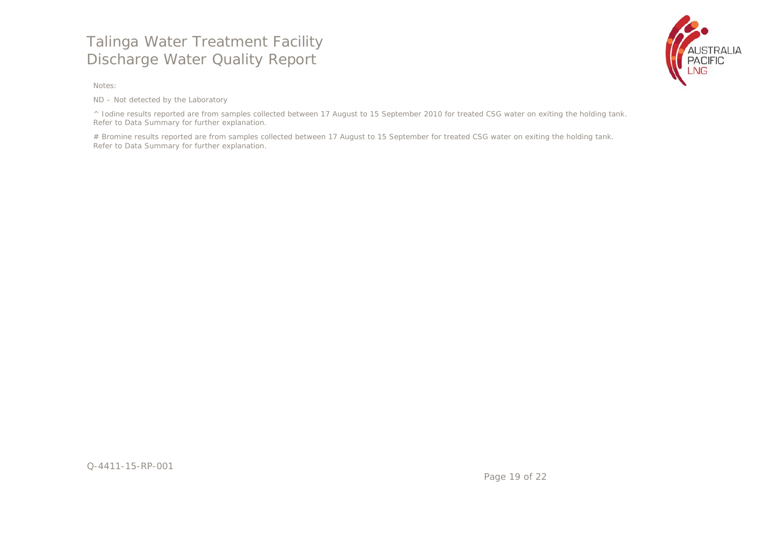Notes:

ND – Not detected by the Laboratory

^ Iodine results reported are from samples collected between 17 August to 15 September 2010 for treated CSG water on exiting the holding tank. Refer to Data Summary for further explanation.

# Bromine results reported are from samples collected between 17 August to 15 September for treated CSG water on exiting the holding tank. Refer to Data Summary for further explanation.

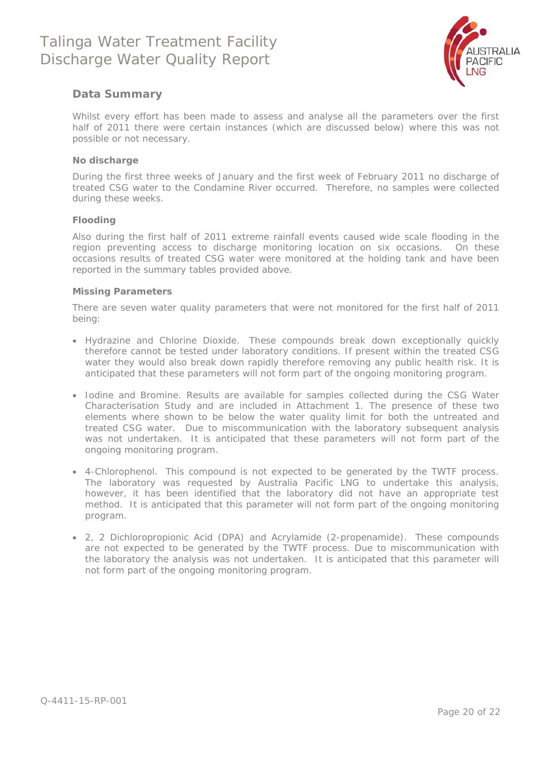

#### **Data Summary**

Whilst every effort has been made to assess and analyse all the parameters over the first half of 2011 there were certain instances (which are discussed below) where this was not possible or not necessary.

#### **No discharge**

During the first three weeks of January and the first week of February 2011 no discharge of treated CSG water to the Condamine River occurred. Therefore, no samples were collected during these weeks.

#### **Flooding**

Also during the first half of 2011 extreme rainfall events caused wide scale flooding in the region preventing access to discharge monitoring location on six occasions. On these occasions results of treated CSG water were monitored at the holding tank and have been reported in the summary tables provided above.

#### **Missing Parameters**

There are seven water quality parameters that were not monitored for the first half of 2011 being:

- Hydrazine and Chlorine Dioxide. These compounds break down exceptionally quickly therefore cannot be tested under laboratory conditions. If present within the treated CSG water they would also break down rapidly therefore removing any public health risk. It is anticipated that these parameters will not form part of the ongoing monitoring program.
- Iodine and Bromine. Results are available for samples collected during the CSG Water Characterisation Study and are included in Attachment 1. The presence of these two elements where shown to be below the water quality limit for both the untreated and treated CSG water. Due to miscommunication with the laboratory subsequent analysis was not undertaken. It is anticipated that these parameters will not form part of the ongoing monitoring program.
- 4-Chlorophenol. This compound is not expected to be generated by the TWTF process. The laboratory was requested by Australia Pacific LNG to undertake this analysis, however, it has been identified that the laboratory did not have an appropriate test method. It is anticipated that this parameter will not form part of the ongoing monitoring program.
- 2, 2 Dichloropropionic Acid (DPA) and Acrylamide (2-propenamide). These compounds are not expected to be generated by the TWTF process. Due to miscommunication with the laboratory the analysis was not undertaken. It is anticipated that this parameter will not form part of the ongoing monitoring program.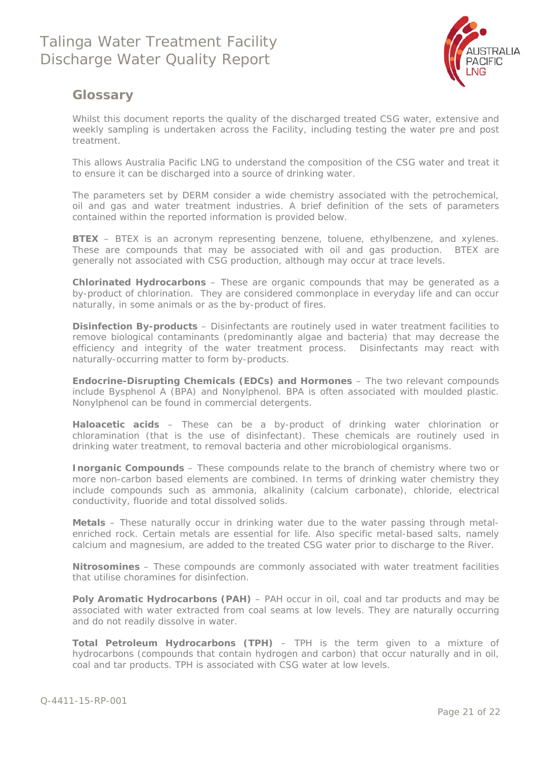

### **Glossary**

Whilst this document reports the quality of the discharged treated CSG water, extensive and weekly sampling is undertaken across the Facility, including testing the water pre and post treatment.

This allows Australia Pacific LNG to understand the composition of the CSG water and treat it to ensure it can be discharged into a source of drinking water.

The parameters set by DERM consider a wide chemistry associated with the petrochemical, oil and gas and water treatment industries. A brief definition of the sets of parameters contained within the reported information is provided below.

**BTEX** – BTEX is an acronym representing benzene, toluene, ethylbenzene, and xylenes. These are compounds that may be associated with oil and gas production. BTEX are generally not associated with CSG production, although may occur at trace levels.

**Chlorinated Hydrocarbons** – These are organic compounds that may be generated as a by-product of chlorination. They are considered commonplace in everyday life and can occur naturally, in some animals or as the by-product of fires.

**Disinfection By-products** – Disinfectants are routinely used in water treatment facilities to remove biological contaminants (predominantly algae and bacteria) that may decrease the efficiency and integrity of the water treatment process. Disinfectants may react with naturally-occurring matter to form by-products.

**Endocrine-Disrupting Chemicals (EDCs) and Hormones** – The two relevant compounds include Bysphenol A (BPA) and Nonylphenol. BPA is often associated with moulded plastic. Nonylphenol can be found in commercial detergents.

**Haloacetic acids** – These can be a by-product of drinking water chlorination or chloramination (that is the use of disinfectant). These chemicals are routinely used in drinking water treatment, to removal bacteria and other microbiological organisms.

**Inorganic Compounds** – These compounds relate to the branch of chemistry where two or more non-carbon based elements are combined. In terms of drinking water chemistry they include compounds such as ammonia, alkalinity (calcium carbonate), chloride, electrical conductivity, fluoride and total dissolved solids.

**Metals** – These naturally occur in drinking water due to the water passing through metalenriched rock. Certain metals are essential for life. Also specific metal-based salts, namely calcium and magnesium, are added to the treated CSG water prior to discharge to the River.

**Nitrosomines** – These compounds are commonly associated with water treatment facilities that utilise choramines for disinfection.

**Poly Aromatic Hydrocarbons (PAH)** – PAH occur in oil, coal and tar products and may be associated with water extracted from coal seams at low levels. They are naturally occurring and do not readily dissolve in water.

**Total Petroleum Hydrocarbons (TPH)** – TPH is the term given to a mixture of hydrocarbons (compounds that contain hydrogen and carbon) that occur naturally and in oil, coal and tar products. TPH is associated with CSG water at low levels.